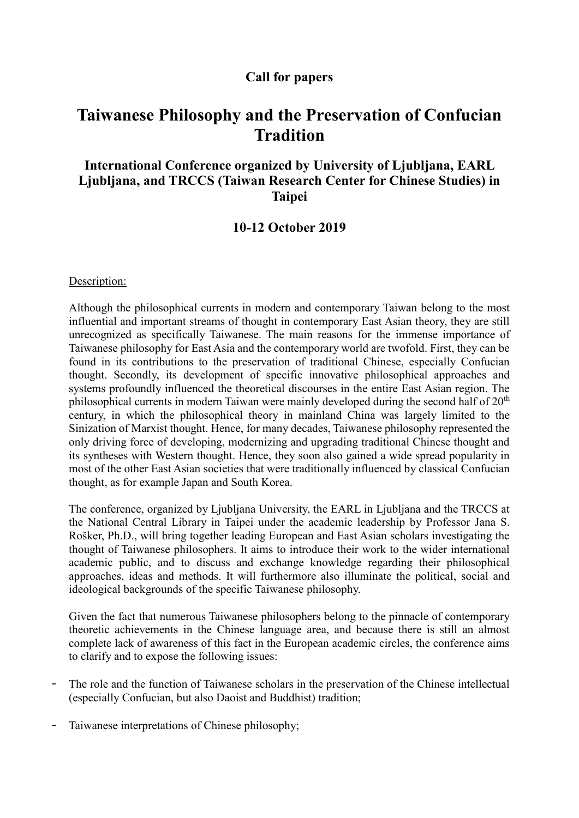### **Call for papers**

# **Taiwanese Philosophy and the Preservation of Confucian Tradition**

## **International Conference organized by University of Ljubljana, EARL Ljubljana, and TRCCS (Taiwan Research Center for Chinese Studies) in Taipei**

#### **10-12 October 2019**

Description:

Although the philosophical currents in modern and contemporary Taiwan belong to the most influential and important streams of thought in contemporary East Asian theory, they are still unrecognized as specifically Taiwanese. The main reasons for the immense importance of Taiwanese philosophy for East Asia and the contemporary world are twofold. First, they can be found in its contributions to the preservation of traditional Chinese, especially Confucian thought. Secondly, its development of specific innovative philosophical approaches and systems profoundly influenced the theoretical discourses in the entire East Asian region. The philosophical currents in modern Taiwan were mainly developed during the second half of 20<sup>th</sup> century, in which the philosophical theory in mainland China was largely limited to the Sinization of Marxist thought. Hence, for many decades, Taiwanese philosophy represented the only driving force of developing, modernizing and upgrading traditional Chinese thought and its syntheses with Western thought. Hence, they soon also gained a wide spread popularity in most of the other East Asian societies that were traditionally influenced by classical Confucian thought, as for example Japan and South Korea.

The conference, organized by Ljubljana University, the EARL in Ljubljana and the TRCCS at the National Central Library in Taipei under the academic leadership by Professor Jana S. Rošker, Ph.D., will bring together leading European and East Asian scholars investigating the thought of Taiwanese philosophers. It aims to introduce their work to the wider international academic public, and to discuss and exchange knowledge regarding their philosophical approaches, ideas and methods. It will furthermore also illuminate the political, social and ideological backgrounds of the specific Taiwanese philosophy.

Given the fact that numerous Taiwanese philosophers belong to the pinnacle of contemporary theoretic achievements in the Chinese language area, and because there is still an almost complete lack of awareness of this fact in the European academic circles, the conference aims to clarify and to expose the following issues:

- The role and the function of Taiwanese scholars in the preservation of the Chinese intellectual (especially Confucian, but also Daoist and Buddhist) tradition;
- Taiwanese interpretations of Chinese philosophy;